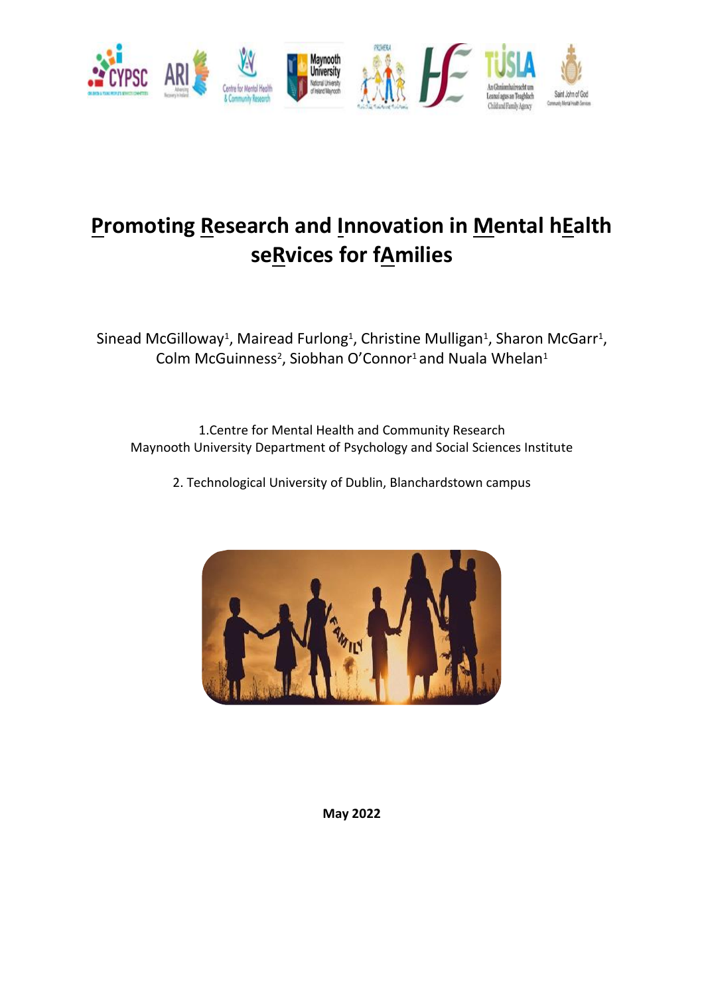

# **Promoting Research and Innovation in Mental hEalth seRvices for fAmilies**

Sinead McGilloway<sup>1</sup>, Mairead Furlong<sup>1</sup>, Christine Mulligan<sup>1</sup>, Sharon McGarr<sup>1</sup>, Colm McGuinness<sup>2</sup>, Siobhan O'Connor<sup>1</sup> and Nuala Whelan<sup>1</sup>

1.Centre for Mental Health and Community Research Maynooth University Department of Psychology and Social Sciences Institute

2. Technological University of Dublin, Blanchardstown campus



**May 2022**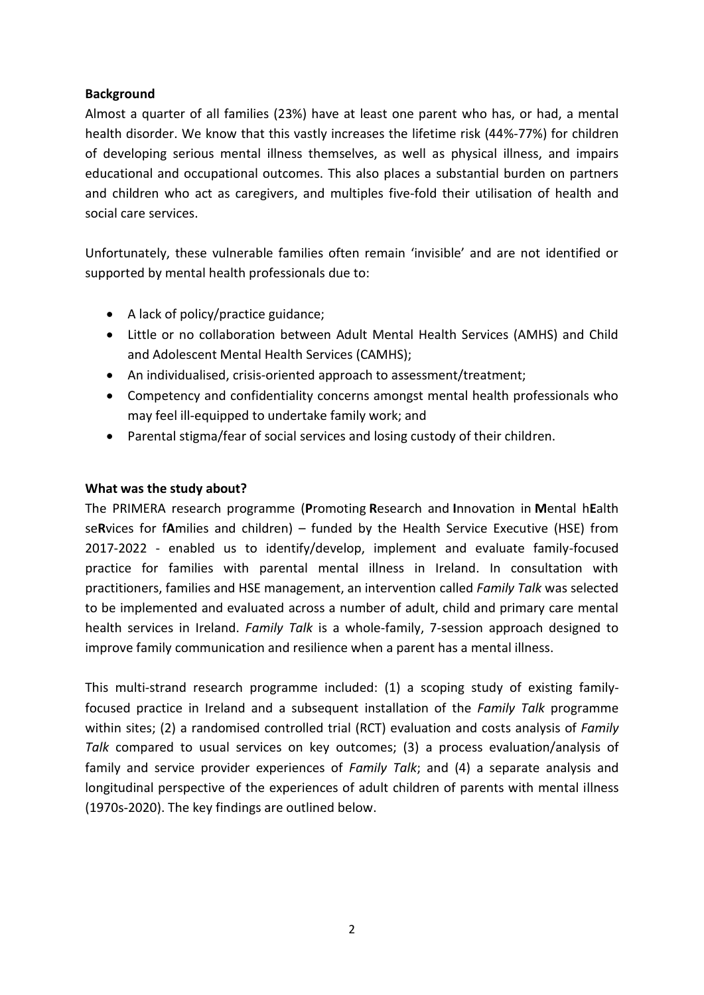#### **Background**

Almost a quarter of all families (23%) have at least one parent who has, or had, a mental health disorder. We know that this vastly increases the lifetime risk (44%-77%) for children of developing serious mental illness themselves, as well as physical illness, and impairs educational and occupational outcomes. This also places a substantial burden on partners and children who act as caregivers, and multiples five-fold their utilisation of health and social care services.

Unfortunately, these vulnerable families often remain 'invisible' and are not identified or supported by mental health professionals due to:

- A lack of policy/practice guidance;
- Little or no collaboration between Adult Mental Health Services (AMHS) and Child and Adolescent Mental Health Services (CAMHS);
- An individualised, crisis-oriented approach to assessment/treatment;
- Competency and confidentiality concerns amongst mental health professionals who may feel ill-equipped to undertake family work; and
- Parental stigma/fear of social services and losing custody of their children.

#### **What was the study about?**

The PRIMERA research programme (**P**romoting **R**esearch and **I**nnovation in **M**ental h**E**alth se**R**vices for f**A**milies and children) – funded by the Health Service Executive (HSE) from 2017-2022 - enabled us to identify/develop, implement and evaluate family-focused practice for families with parental mental illness in Ireland. In consultation with practitioners, families and HSE management, an intervention called *Family Talk* was selected to be implemented and evaluated across a number of adult, child and primary care mental health services in Ireland. *Family Talk* is a whole-family, 7-session approach designed to improve family communication and resilience when a parent has a mental illness.

This multi-strand research programme included: (1) a scoping study of existing familyfocused practice in Ireland and a subsequent installation of the *Family Talk* programme within sites; (2) a randomised controlled trial (RCT) evaluation and costs analysis of *Family Talk* compared to usual services on key outcomes; (3) a process evaluation/analysis of family and service provider experiences of *Family Talk*; and (4) a separate analysis and longitudinal perspective of the experiences of adult children of parents with mental illness (1970s-2020). The key findings are outlined below.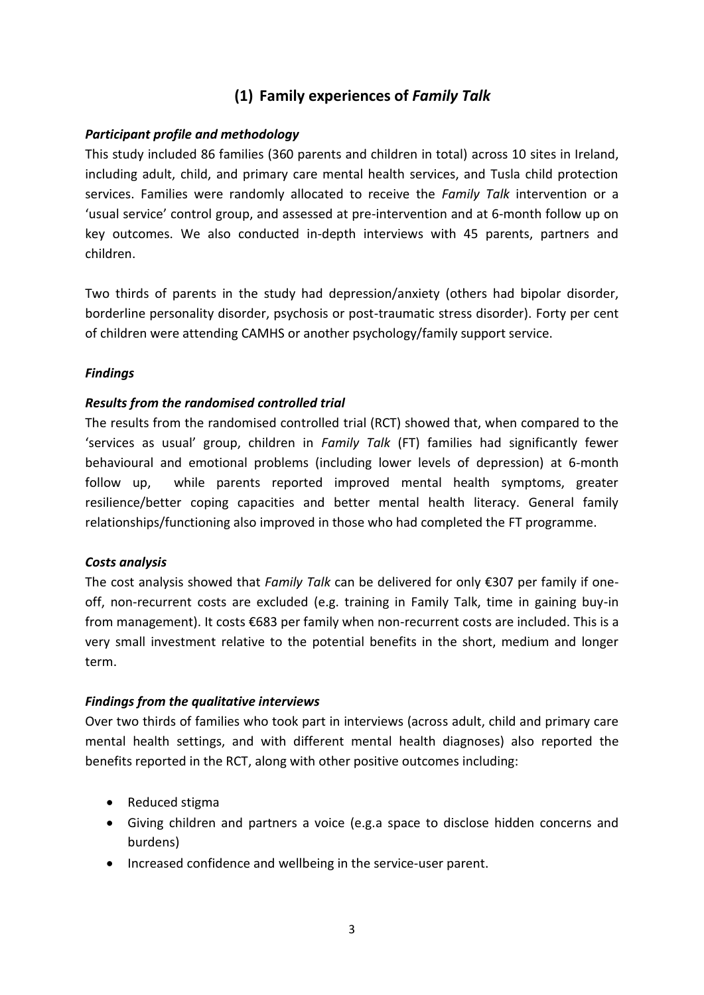## **(1) Family experiences of** *Family Talk*

#### *Participant profile and methodology*

This study included 86 families (360 parents and children in total) across 10 sites in Ireland, including adult, child, and primary care mental health services, and Tusla child protection services. Families were randomly allocated to receive the *Family Talk* intervention or a 'usual service' control group, and assessed at pre-intervention and at 6-month follow up on key outcomes. We also conducted in-depth interviews with 45 parents, partners and children.

Two thirds of parents in the study had depression/anxiety (others had bipolar disorder, borderline personality disorder, psychosis or post-traumatic stress disorder). Forty per cent of children were attending CAMHS or another psychology/family support service.

#### *Findings*

#### *Results from the randomised controlled trial*

The results from the randomised controlled trial (RCT) showed that, when compared to the 'services as usual' group, children in *Family Talk* (FT) families had significantly fewer behavioural and emotional problems (including lower levels of depression) at 6-month follow up, while parents reported improved mental health symptoms, greater resilience/better coping capacities and better mental health literacy. General family relationships/functioning also improved in those who had completed the FT programme.

#### *Costs analysis*

The cost analysis showed that *Family Talk* can be delivered for only €307 per family if oneoff, non-recurrent costs are excluded (e.g. training in Family Talk, time in gaining buy-in from management). It costs €683 per family when non-recurrent costs are included. This is a very small investment relative to the potential benefits in the short, medium and longer term.

#### *Findings from the qualitative interviews*

Over two thirds of families who took part in interviews (across adult, child and primary care mental health settings, and with different mental health diagnoses) also reported the benefits reported in the RCT, along with other positive outcomes including:

- Reduced stigma
- Giving children and partners a voice (e.g.a space to disclose hidden concerns and burdens)
- Increased confidence and wellbeing in the service-user parent.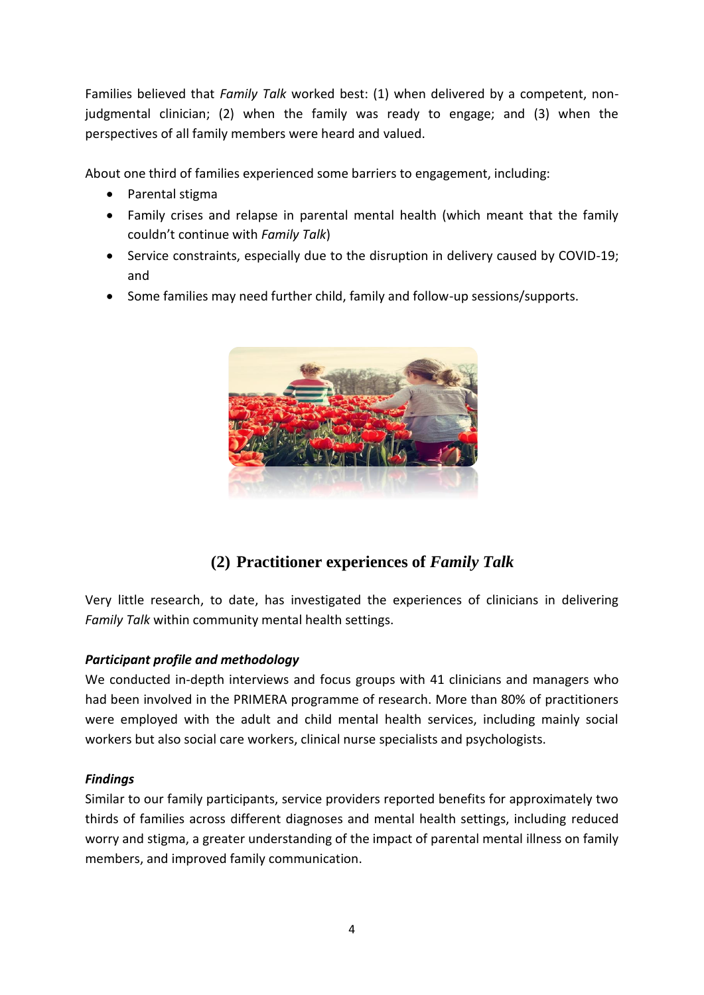Families believed that *Family Talk* worked best: (1) when delivered by a competent, nonjudgmental clinician; (2) when the family was ready to engage; and (3) when the perspectives of all family members were heard and valued.

About one third of families experienced some barriers to engagement, including:

- Parental stigma
- Family crises and relapse in parental mental health (which meant that the family couldn't continue with *Family Talk*)
- Service constraints, especially due to the disruption in delivery caused by COVID-19; and
- Some families may need further child, family and follow-up sessions/supports.



# **(2) Practitioner experiences of** *Family Talk*

Very little research, to date, has investigated the experiences of clinicians in delivering *Family Talk* within community mental health settings.

### *Participant profile and methodology*

We conducted in-depth interviews and focus groups with 41 clinicians and managers who had been involved in the PRIMERA programme of research. More than 80% of practitioners were employed with the adult and child mental health services, including mainly social workers but also social care workers, clinical nurse specialists and psychologists.

#### *Findings*

Similar to our family participants, service providers reported benefits for approximately two thirds of families across different diagnoses and mental health settings, including reduced worry and stigma, a greater understanding of the impact of parental mental illness on family members, and improved family communication.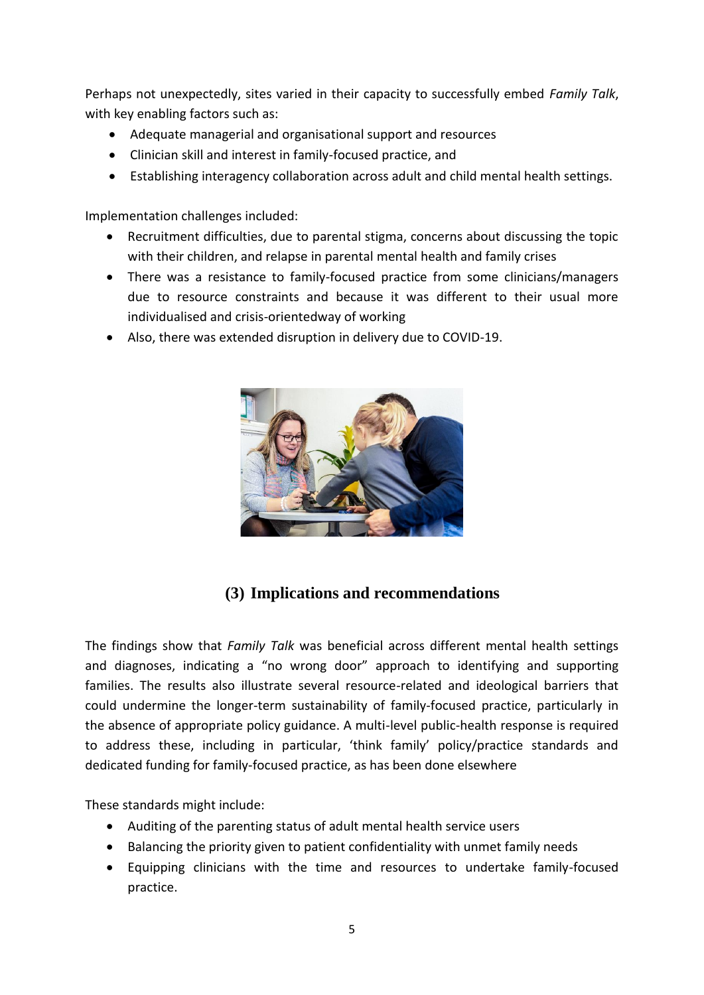Perhaps not unexpectedly, sites varied in their capacity to successfully embed *Family Talk*, with key enabling factors such as:

- Adequate managerial and organisational support and resources
- Clinician skill and interest in family-focused practice, and
- Establishing interagency collaboration across adult and child mental health settings.

Implementation challenges included:

- Recruitment difficulties, due to parental stigma, concerns about discussing the topic with their children, and relapse in parental mental health and family crises
- There was a resistance to family-focused practice from some clinicians/managers due to resource constraints and because it was different to their usual more individualised and crisis-orientedway of working
- Also, there was extended disruption in delivery due to COVID-19.



## **(3) Implications and recommendations**

The findings show that *Family Talk* was beneficial across different mental health settings and diagnoses, indicating a "no wrong door" approach to identifying and supporting families. The results also illustrate several resource-related and ideological barriers that could undermine the longer-term sustainability of family-focused practice, particularly in the absence of appropriate policy guidance. A multi-level public-health response is required to address these, including in particular, 'think family' policy/practice standards and dedicated funding for family-focused practice, as has been done elsewhere

These standards might include:

- Auditing of the parenting status of adult mental health service users
- Balancing the priority given to patient confidentiality with unmet family needs
- Equipping clinicians with the time and resources to undertake family-focused practice.